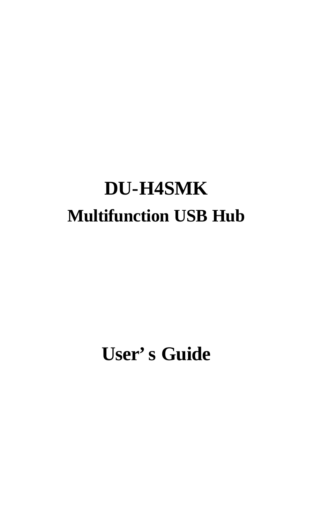# **DU-H4SMK Multifunction USB Hub**

# **User's Guide**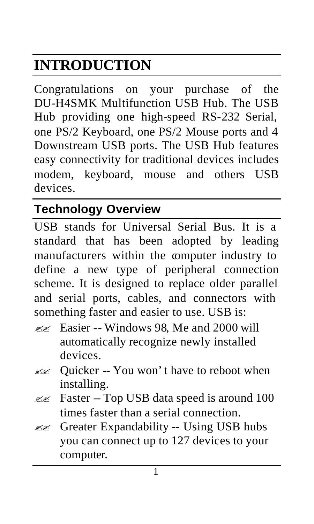# **INTRODUCTION**

Congratulations on your purchase of the DU-H4SMK Multifunction USB Hub. The USB Hub providing one high-speed RS-232 Serial, one PS/2 Keyboard, one PS/2 Mouse ports and 4 Downstream USB ports. The USB Hub features easy connectivity for traditional devices includes modem, keyboard, mouse and others USB devices.

# **Technology Overview**

USB stands for Universal Serial Bus. It is a standard that has been adopted by leading manufacturers within the computer industry to define a new type of peripheral connection scheme. It is designed to replace older parallel and serial ports, cables, and connectors with something faster and easier to use. USB is:

- $\mathbb{Z}$  Easier -- Windows 98, Me and 2000 will automatically recognize newly installed devices.
- $\lll$  Quicker -- You won't have to reboot when installing.
- ?? Faster -- Top USB data speed is around 100 times faster than a serial connection.
- $\mathbb{Z}$  Greater Expandability -- Using USB hubs you can connect up to 127 devices to your computer.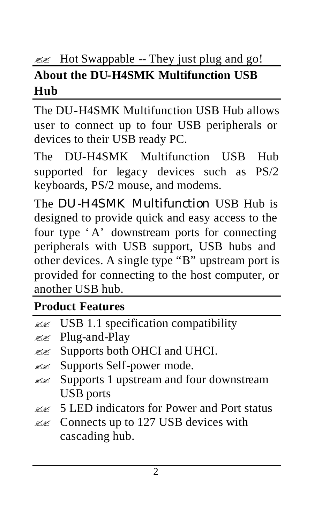#### $\mathbb{Z}$  Hot Swappable -- They just plug and go! **About the DU-H4SMK Multifunction USB Hub**

The DU-H4SMK Multifunction USB Hub allows user to connect up to four USB peripherals or devices to their USB ready PC.

The DU-H4SMK Multifunction USB Hub supported for legacy devices such as PS/2 keyboards, PS/2 mouse, and modems.

The DU-H4SMK Multifunction USB Hub is designed to provide quick and easy access to the four type 'A' downstream ports for connecting peripherals with USB support, USB hubs and other devices. A single type "B" upstream port is provided for connecting to the host computer, or another USB hub.

# **Product Features**

|  |  |  |  | $\ll \ll$ USB 1.1 specification compatibility |
|--|--|--|--|-----------------------------------------------|
|--|--|--|--|-----------------------------------------------|

- $\lll$  Plug-and-Play
- $\mathbb{Z}$  Supports both OHCI and UHCI.
- ?? Supports Self-power mode.
- $\mathbb{Z}$  Supports 1 upstream and four downstream USB ports
- $\ll$  5 LED indicators for Power and Port status
- $\mathbb{Z}$  Connects up to 127 USB devices with cascading hub.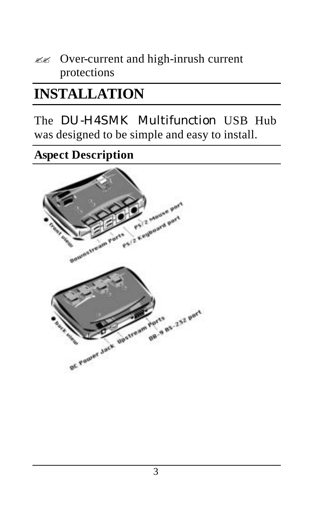?? Over-current and high-inrush current protections

# **INSTALLATION**

### The DU-H4SMK Multifunction USB Hub was designed to be simple and easy to install.

**Aspect Description**

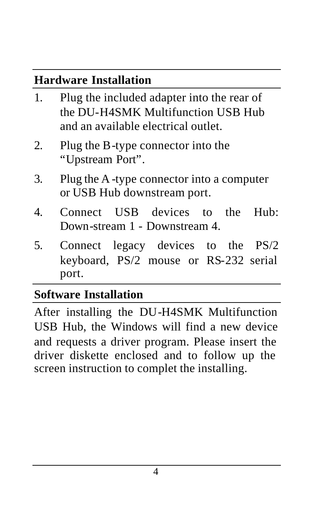#### **Hardware Installation**

- 1. Plug the included adapter into the rear of the DU-H4SMK Multifunction USB Hub and an available electrical outlet.
- 2. Plug the B-type connector into the "Upstream Port".
- 3. Plug the A -type connector into a computer or USB Hub downstream port.
- 4. Connect USB devices to the Hub: Down-stream 1 - Downstream 4.
- 5. Connect legacy devices to the PS/2 keyboard, PS/2 mouse or RS-232 serial port.

# **Software Installation**

After installing the DU-H4SMK Multifunction USB Hub, the Windows will find a new device and requests a driver program. Please insert the driver diskette enclosed and to follow up the screen instruction to complet the installing.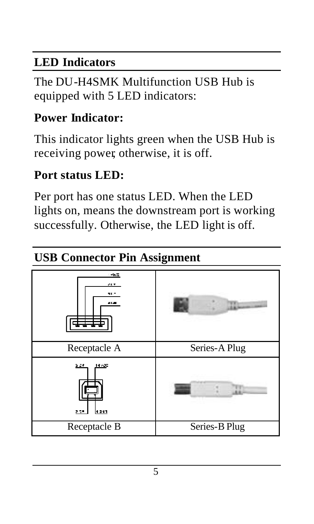### **LED Indicators**

The DU-H4SMK Multifunction USB Hub is equipped with 5 LED indicators:

# **Power Indicator:**

This indicator lights green when the USB Hub is receiving power, otherwise, it is off.

#### **Port status LED:**

Per port has one status LED. When the LED lights on, means the downstream port is working successfully. Otherwise, the LED light is off.

# **USB Connector Pin Assignment**